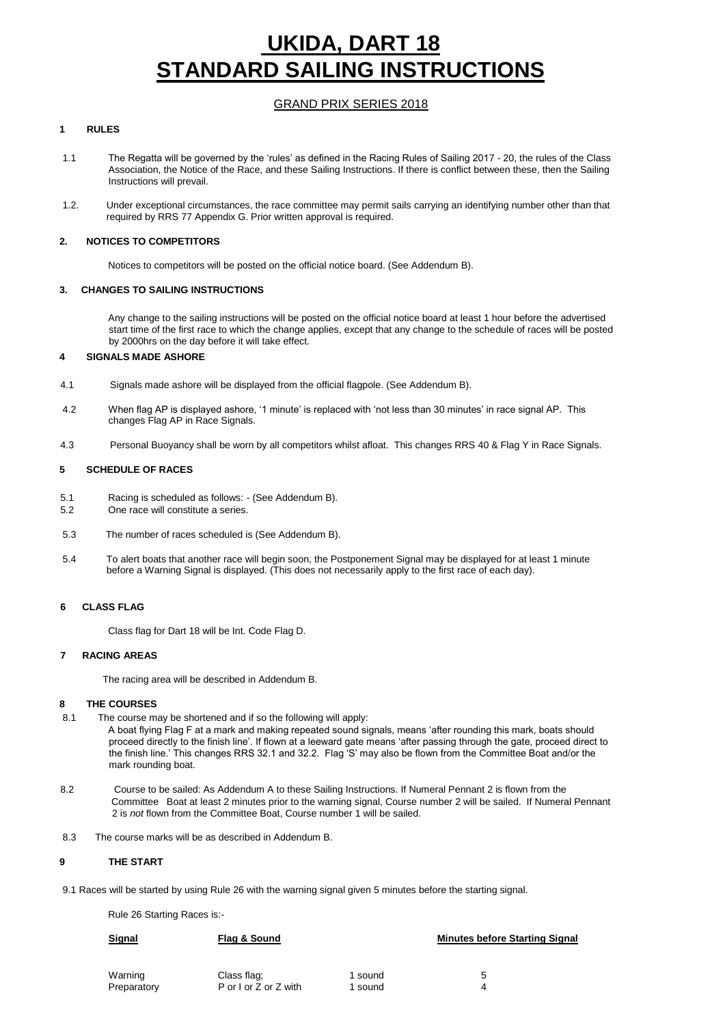## **UKIDA, DART 18 TANDARD SAILING INSTRUCTIONS**

### GRAND PRIX SERIES 2018

### **1 RULES**

- 1.1 The Regatta will be governed by the 'rules' as defined in the Racing Rules of Sailing 2017 20, the rules of the Class Association, the Notice of the Race, and these Sailing Instructions. If there is conflict between these, then the Sailing Instructions will prevail.
- 1.2. Under exceptional circumstances, the race committee may permit sails carrying an identifying number other than that required by RRS 77 Appendix G. Prior written approval is required.

### **2. NOTICES TO COMPETITORS**

Notices to competitors will be posted on the official notice board. (See Addendum B).

### **3. CHANGES TO SAILING INSTRUCTIONS**

Any change to the sailing instructions will be posted on the official notice board at least 1 hour before the advertised start time of the first race to which the change applies, except that any change to the schedule of races will be posted by 2000hrs on the day before it will take effect.

### **4 SIGNALS MADE ASHORE**

- 4.1 Signals made ashore will be displayed from the official flagpole. (See Addendum B).
- 4.2 When flag AP is displayed ashore, '1 minute' is replaced with 'not less than 30 minutes' in race signal AP. This changes Flag AP in Race Signals.
- 4.3 Personal Buoyancy shall be worn by all competitors whilst afloat. This changes RRS 40 & Flag Y in Race Signals.

### **5 SCHEDULE OF RACES**

- 5.1 Racing is scheduled as follows: (See Addendum B).
- 5.2 One race will constitute a series.
- 5.3 The number of races scheduled is (See Addendum B).
- 5.4 To alert boats that another race will begin soon, the Postponement Signal may be displayed for at least 1 minute before a Warning Signal is displayed. (This does not necessarily apply to the first race of each day).

### **6 CLASS FLAG**

Class flag for Dart 18 will be Int. Code Flag D.

### **7 RACING AREAS**

The racing area will be described in Addendum B.

### **8 THE COURSES**

- 8.1 The course may be shortened and if so the following will apply: A boat flying Flag F at a mark and making repeated sound signals, means 'after rounding this mark, boats should proceed directly to the finish line'. If flown at a leeward gate means 'after passing through the gate, proceed direct to the finish line.' This changes RRS 32.1 and 32.2. Flag 'S' may also be flown from the Committee Boat and/or the
- 8.2 Course to be sailed: As Addendum A to these Sailing Instructions. If Numeral Pennant 2 is flown from the Committee Boat at least 2 minutes prior to the warning signal, Course number 2 will be sailed. If Numeral Pennant 2 is *not* flown from the Committee Boat, Course number 1 will be sailed.
- 8.3 The course marks will be as described in Addendum B.

### **9 THE START**

9.1 Races will be started by using Rule 26 with the warning signal given 5 minutes before the starting signal.

Rule 26 Starting Races is:-

mark rounding boat.

| l sound | ∽     |
|---------|-------|
|         | sound |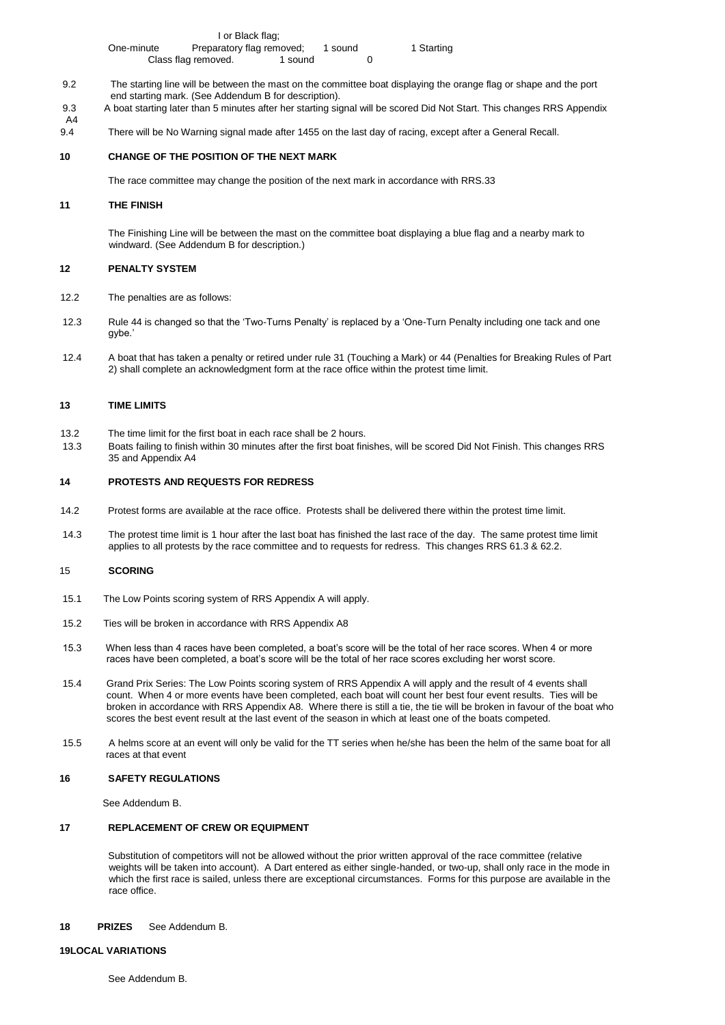|     | One-minute | Preparatory flag removed;                            |       | l sound | 1 Starting                                                                                                        |  |
|-----|------------|------------------------------------------------------|-------|---------|-------------------------------------------------------------------------------------------------------------------|--|
|     |            | Class flag removed.                                  | sound |         |                                                                                                                   |  |
| 9.2 |            | end starting mark. (See Addendum B for description). |       |         | The starting line will be between the mast on the committee boat displaying the orange flag or shape and the port |  |

- 9.3 A boat starting later than 5 minutes after her starting signal will be scored Did Not Start. This changes RRS Appendix A4
- 9.4 There will be No Warning signal made after 1455 on the last day of racing, except after a General Recall.

### **10 CHANGE OF THE POSITION OF THE NEXT MARK**

I or Black flag;

The race committee may change the position of the next mark in accordance with RRS.33

### **11 THE FINISH**

The Finishing Line will be between the mast on the committee boat displaying a blue flag and a nearby mark to windward. (See Addendum B for description.)

### **12 PENALTY SYSTEM**

- 12.2 The penalties are as follows:
- 12.3 Rule 44 is changed so that the 'Two-Turns Penalty' is replaced by a 'One-Turn Penalty including one tack and one gybe.'
- 12.4 A boat that has taken a penalty or retired under rule 31 (Touching a Mark) or 44 (Penalties for Breaking Rules of Part 2) shall complete an acknowledgment form at the race office within the protest time limit.

### **13 TIME LIMITS**

- 13.2 The time limit for the first boat in each race shall be 2 hours.
- 13.3 Boats failing to finish within 30 minutes after the first boat finishes, will be scored Did Not Finish. This changes RRS 35 and Appendix A4

### **14 PROTESTS AND REQUESTS FOR REDRESS**

- 14.2 Protest forms are available at the race office. Protests shall be delivered there within the protest time limit.
- 14.3 The protest time limit is 1 hour after the last boat has finished the last race of the day. The same protest time limit applies to all protests by the race committee and to requests for redress. This changes RRS 61.3 & 62.2.

### 15 **SCORING**

- 15.1 The Low Points scoring system of RRS Appendix A will apply.
- 15.2 Ties will be broken in accordance with RRS Appendix A8
- 15.3 When less than 4 races have been completed, a boat's score will be the total of her race scores. When 4 or more races have been completed, a boat's score will be the total of her race scores excluding her worst score.
- 15.4 Grand Prix Series: The Low Points scoring system of RRS Appendix A will apply and the result of 4 events shall count. When 4 or more events have been completed, each boat will count her best four event results. Ties will be broken in accordance with RRS Appendix A8. Where there is still a tie, the tie will be broken in favour of the boat who scores the best event result at the last event of the season in which at least one of the boats competed.
- 15.5 A helms score at an event will only be valid for the TT series when he/she has been the helm of the same boat for all races at that event

### **16 SAFETY REGULATIONS**

See Addendum B.

### **17 REPLACEMENT OF CREW OR EQUIPMENT**

Substitution of competitors will not be allowed without the prior written approval of the race committee (relative weights will be taken into account). A Dart entered as either single-handed, or two-up, shall only race in the mode in which the first race is sailed, unless there are exceptional circumstances. Forms for this purpose are available in the race office.

### **18 PRIZES** See Addendum B.

### **19LOCAL VARIATIONS**

See Addendum B.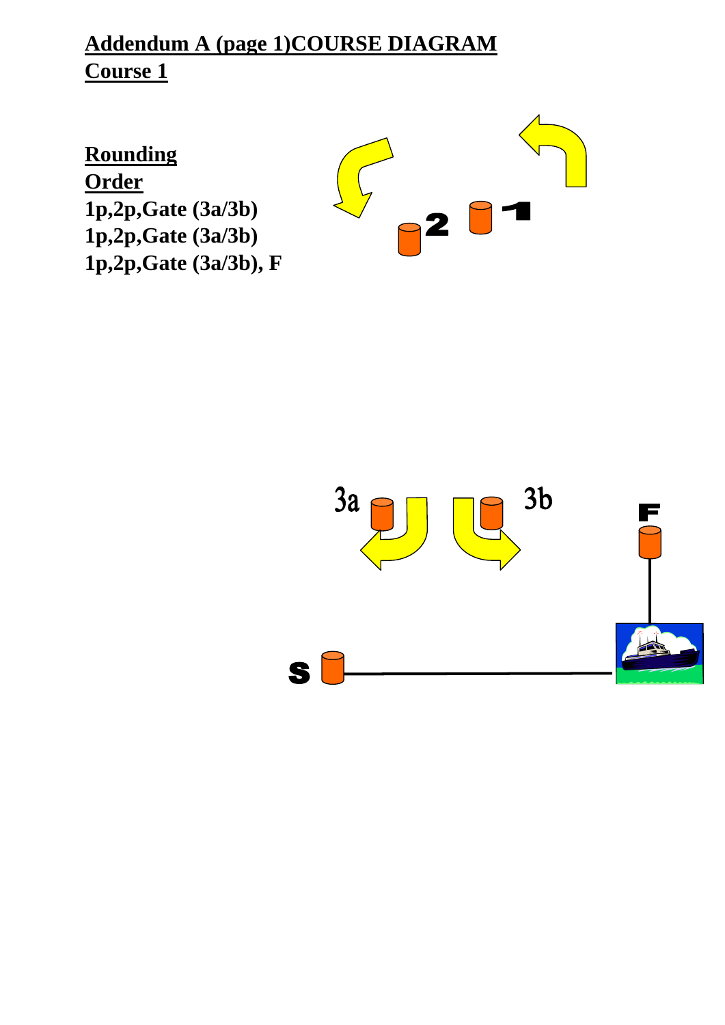## **Addendum A (page 1)COURSE DIAGRAM Course 1**

**Rounding Order 1p,2p,Gate (3a/3b) 1p,2p,Gate (3a/3b) 1p,2p,Gate (3a/3b), F**



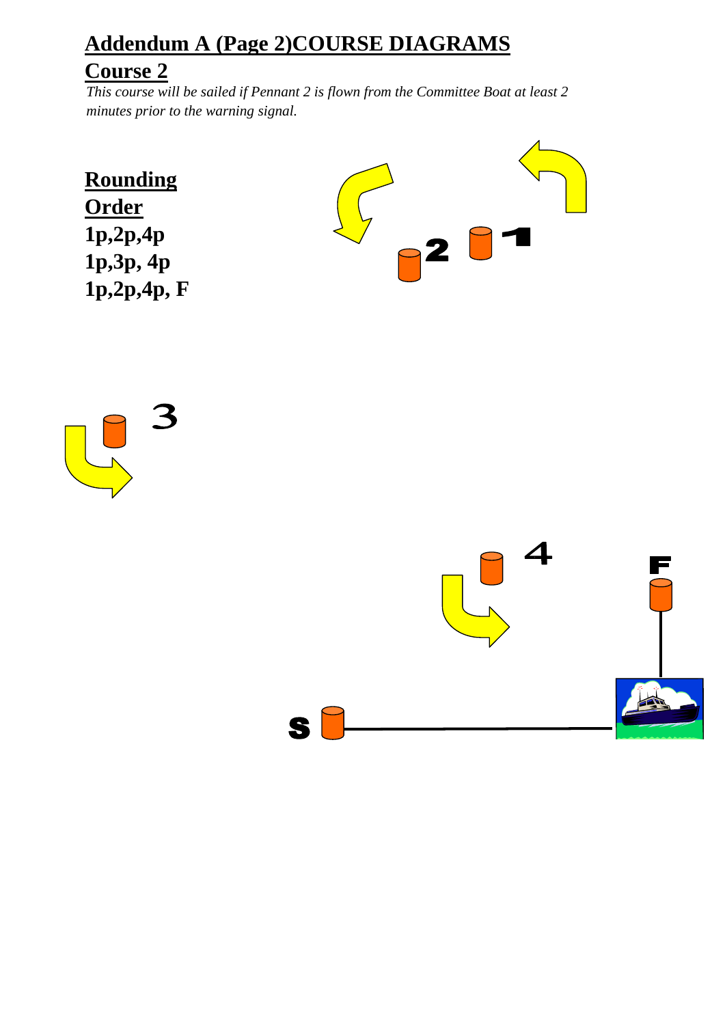# **Addendum A (Page 2)COURSE DIAGRAMS**

## **Course 2**

*This course will be sailed if Pennant 2 is flown from the Committee Boat at least 2 minutes prior to the warning signal.*

**Rounding Order 1p,2p,4p 1p,3p, 4p 1p,2p,4p, F** 





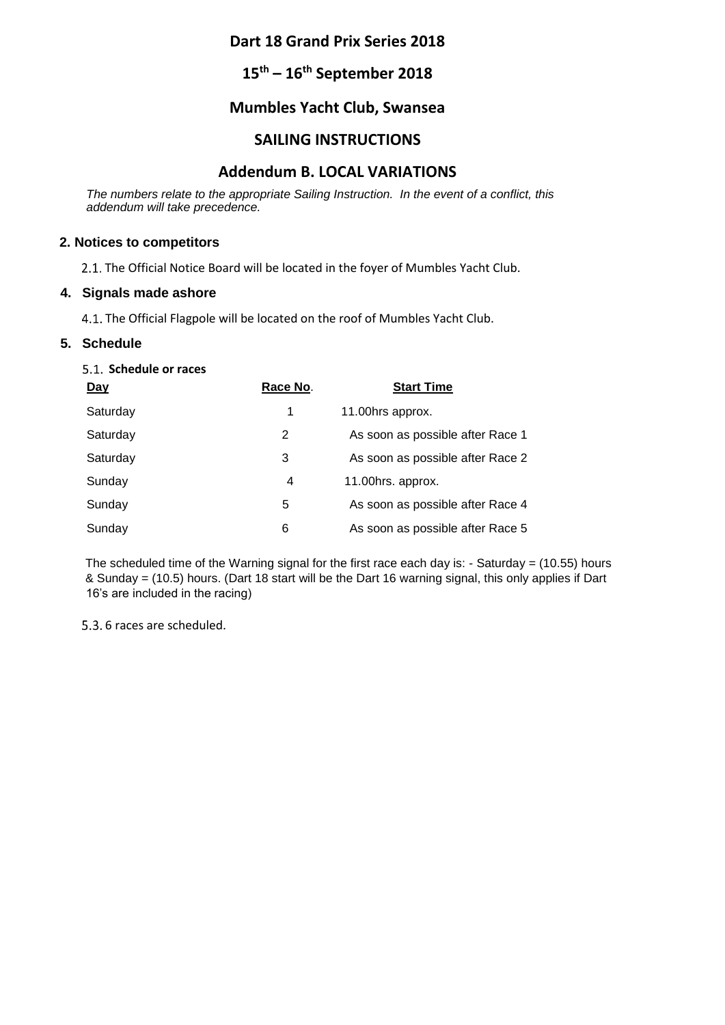## **Dart 18 Grand Prix Series 2018**

## **15th – 16th September 2018**

## **Mumbles Yacht Club, Swansea**

## **SAILING INSTRUCTIONS**

## **Addendum B. LOCAL VARIATIONS**

*The numbers relate to the appropriate Sailing Instruction. In the event of a conflict, this addendum will take precedence.* 

## **2. Notices to competitors**

2.1. The Official Notice Board will be located in the foyer of Mumbles Yacht Club.

### **4. Signals made ashore**

4.1. The Official Flagpole will be located on the roof of Mumbles Yacht Club.

## **5. Schedule**

## **Schedule or races**

| Day      | Race No. | <b>Start Time</b>                |
|----------|----------|----------------------------------|
| Saturday | 1        | 11.00hrs approx.                 |
| Saturday | 2        | As soon as possible after Race 1 |
| Saturday | 3        | As soon as possible after Race 2 |
| Sunday   | 4        | 11.00hrs. approx.                |
| Sunday   | 5        | As soon as possible after Race 4 |
| Sunday   | 6        | As soon as possible after Race 5 |

The scheduled time of the Warning signal for the first race each day is: - Saturday = (10.55) hours & Sunday = (10.5) hours. (Dart 18 start will be the Dart 16 warning signal, this only applies if Dart 16's are included in the racing)

5.3. 6 races are scheduled.